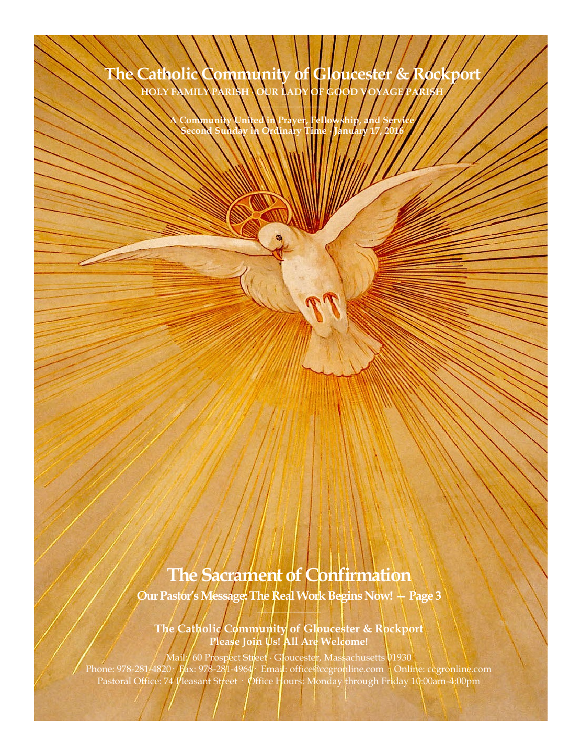## **The Catholic Community of Gloucester & Rockport Catholic Community of Gloucester & Rockport DMMUNIty of<br>∂ARISH \OUR LADY**

**\_\_\_\_\_\_\_\_\_\_\_\_\_\_\_\_\_\_\_\_\_\_ A Community United in Prayer, Fellowship, and Service Second Sunday in Ordinary Time ∙ January 17, 2016**

# **The Sacrament of Confirmation**

**Our Pastor's Message: The Real Work Begins Now! —Page 3** *\_\_\_\_\_\_\_\_\_\_\_\_\_\_\_\_\_\_\_\_\_\_* 

**The Catholic Community of Gloucester & Rockport Please Join Us! All Are Welcome!**

Mail: 60 Prospect Street ∙ Gloucester, Massachusetts 01930 Phone: 978-281-4820· Fax: 978-281-4964· Email: office@ccgronline.com · Online: ccgronline.com Pastoral Office: 74 Pleasant Street · Office Hours: Monday through Friday 10:00am-4:00pm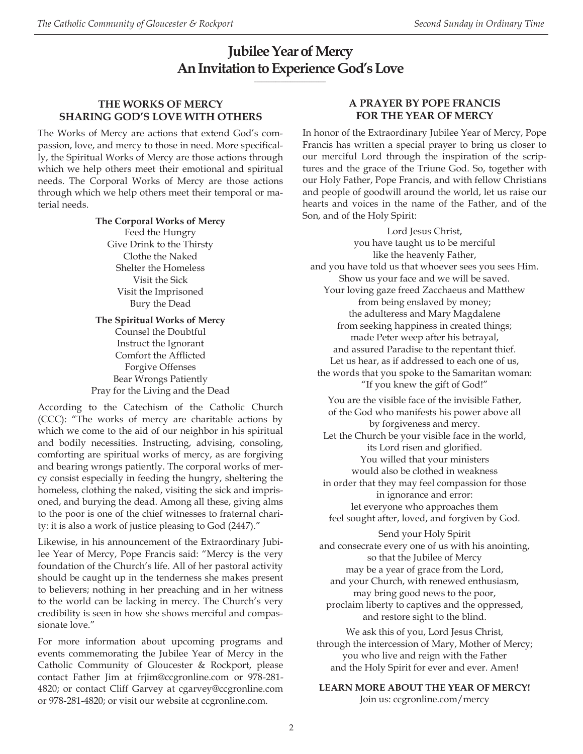## **Jubilee Year of Mercy An Invitation to Experience God's Love**

**\_\_\_\_\_\_\_\_\_\_\_\_\_\_\_\_\_\_\_\_\_\_\_\_\_\_\_\_\_\_**

#### **THE WORKS OF MERCY SHARING GOD'S LOVE WITH OTHERS**

The Works of Mercy are actions that extend God's compassion, love, and mercy to those in need. More specifically, the Spiritual Works of Mercy are those actions through which we help others meet their emotional and spiritual needs. The Corporal Works of Mercy are those actions through which we help others meet their temporal or material needs.

#### **The Corporal Works of Mercy**

Feed the Hungry Give Drink to the Thirsty Clothe the Naked Shelter the Homeless Visit the Sick Visit the Imprisoned Bury the Dead

#### **The Spiritual Works of Mercy** Counsel the Doubtful Instruct the Ignorant Comfort the Afflicted Forgive Offenses Bear Wrongs Patiently Pray for the Living and the Dead

According to the Catechism of the Catholic Church (CCC): "The works of mercy are charitable actions by which we come to the aid of our neighbor in his spiritual and bodily necessities. Instructing, advising, consoling, comforting are spiritual works of mercy, as are forgiving and bearing wrongs patiently. The corporal works of mercy consist especially in feeding the hungry, sheltering the homeless, clothing the naked, visiting the sick and imprisoned, and burying the dead. Among all these, giving alms to the poor is one of the chief witnesses to fraternal charity: it is also a work of justice pleasing to God (2447)."

Likewise, in his announcement of the Extraordinary Jubilee Year of Mercy, Pope Francis said: "Mercy is the very foundation of the Church's life. All of her pastoral activity should be caught up in the tenderness she makes present to believers; nothing in her preaching and in her witness to the world can be lacking in mercy. The Church's very credibility is seen in how she shows merciful and compassionate love."

For more information about upcoming programs and events commemorating the Jubilee Year of Mercy in the Catholic Community of Gloucester & Rockport, please contact Father Jim at frjim@ccgronline.com or 978-281- 4820; or contact Cliff Garvey at cgarvey@ccgronline.com or 978-281-4820; or visit our website at ccgronline.com.

#### **A PRAYER BY POPE FRANCIS FOR THE YEAR OF MERCY**

In honor of the Extraordinary Jubilee Year of Mercy, Pope Francis has written a special prayer to bring us closer to our merciful Lord through the inspiration of the scriptures and the grace of the Triune God. So, together with our Holy Father, Pope Francis, and with fellow Christians and people of goodwill around the world, let us raise our hearts and voices in the name of the Father, and of the Son, and of the Holy Spirit:

Lord Jesus Christ, you have taught us to be merciful like the heavenly Father, and you have told us that whoever sees you sees Him. Show us your face and we will be saved. Your loving gaze freed Zacchaeus and Matthew from being enslaved by money; the adulteress and Mary Magdalene from seeking happiness in created things; made Peter weep after his betrayal, and assured Paradise to the repentant thief. Let us hear, as if addressed to each one of us, the words that you spoke to the Samaritan woman: "If you knew the gift of God!"

You are the visible face of the invisible Father, of the God who manifests his power above all by forgiveness and mercy. Let the Church be your visible face in the world, its Lord risen and glorified. You willed that your ministers would also be clothed in weakness in order that they may feel compassion for those in ignorance and error:

let everyone who approaches them feel sought after, loved, and forgiven by God.

Send your Holy Spirit and consecrate every one of us with his anointing, so that the Jubilee of Mercy may be a year of grace from the Lord, and your Church, with renewed enthusiasm, may bring good news to the poor, proclaim liberty to captives and the oppressed, and restore sight to the blind.

We ask this of you, Lord Jesus Christ, through the intercession of Mary, Mother of Mercy; you who live and reign with the Father and the Holy Spirit for ever and ever. Amen!

#### **LEARN MORE ABOUT THE YEAR OF MERCY!** Join us: ccgronline.com/mercy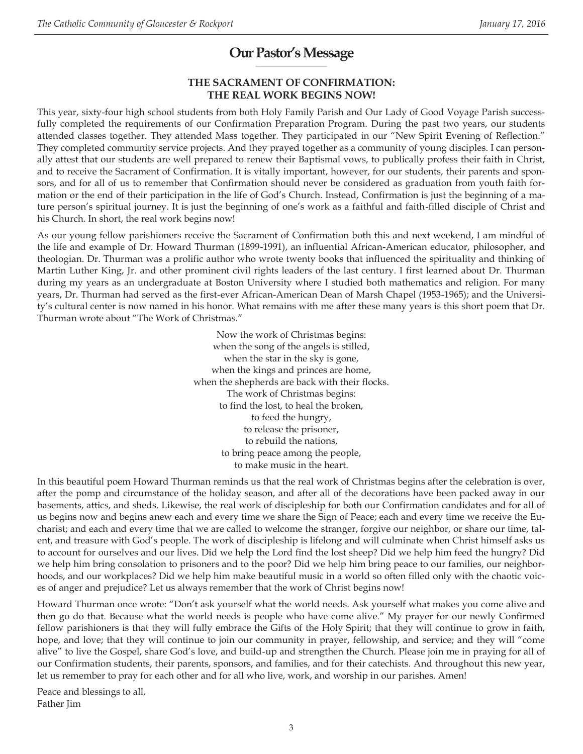#### **Our Pastor's Message \_\_\_\_\_\_\_\_\_\_\_\_\_\_\_\_\_\_\_\_\_\_\_\_\_\_\_\_\_\_**

#### **THE SACRAMENT OF CONFIRMATION: THE REAL WORK BEGINS NOW!**

This year, sixty-four high school students from both Holy Family Parish and Our Lady of Good Voyage Parish successfully completed the requirements of our Confirmation Preparation Program. During the past two years, our students attended classes together. They attended Mass together. They participated in our "New Spirit Evening of Reflection." They completed community service projects. And they prayed together as a community of young disciples. I can personally attest that our students are well prepared to renew their Baptismal vows, to publically profess their faith in Christ, and to receive the Sacrament of Confirmation. It is vitally important, however, for our students, their parents and sponsors, and for all of us to remember that Confirmation should never be considered as graduation from youth faith formation or the end of their participation in the life of God's Church. Instead, Confirmation is just the beginning of a mature person's spiritual journey. It is just the beginning of one's work as a faithful and faith-filled disciple of Christ and his Church. In short, the real work begins now!

As our young fellow parishioners receive the Sacrament of Confirmation both this and next weekend, I am mindful of the life and example of Dr. Howard Thurman (1899-1991), an influential African-American educator, philosopher, and theologian. Dr. Thurman was a prolific author who wrote twenty books that influenced the spirituality and thinking of Martin Luther King, Jr. and other prominent civil rights leaders of the last century. I first learned about Dr. Thurman during my years as an undergraduate at Boston University where I studied both mathematics and religion. For many years, Dr. Thurman had served as the first-ever African-American Dean of Marsh Chapel (1953-1965); and the University's cultural center is now named in his honor. What remains with me after these many years is this short poem that Dr. Thurman wrote about "The Work of Christmas."

> Now the work of Christmas begins: when the song of the angels is stilled, when the star in the sky is gone, when the kings and princes are home, when the shepherds are back with their flocks. The work of Christmas begins: to find the lost, to heal the broken, to feed the hungry, to release the prisoner, to rebuild the nations, to bring peace among the people, to make music in the heart.

In this beautiful poem Howard Thurman reminds us that the real work of Christmas begins after the celebration is over, after the pomp and circumstance of the holiday season, and after all of the decorations have been packed away in our basements, attics, and sheds. Likewise, the real work of discipleship for both our Confirmation candidates and for all of us begins now and begins anew each and every time we share the Sign of Peace; each and every time we receive the Eucharist; and each and every time that we are called to welcome the stranger, forgive our neighbor, or share our time, talent, and treasure with God's people. The work of discipleship is lifelong and will culminate when Christ himself asks us to account for ourselves and our lives. Did we help the Lord find the lost sheep? Did we help him feed the hungry? Did we help him bring consolation to prisoners and to the poor? Did we help him bring peace to our families, our neighborhoods, and our workplaces? Did we help him make beautiful music in a world so often filled only with the chaotic voices of anger and prejudice? Let us always remember that the work of Christ begins now!

Howard Thurman once wrote: "Don't ask yourself what the world needs. Ask yourself what makes you come alive and then go do that. Because what the world needs is people who have come alive." My prayer for our newly Confirmed fellow parishioners is that they will fully embrace the Gifts of the Holy Spirit; that they will continue to grow in faith, hope, and love; that they will continue to join our community in prayer, fellowship, and service; and they will "come alive" to live the Gospel, share God's love, and build-up and strengthen the Church. Please join me in praying for all of our Confirmation students, their parents, sponsors, and families, and for their catechists. And throughout this new year, let us remember to pray for each other and for all who live, work, and worship in our parishes. Amen!

Peace and blessings to all, Father Jim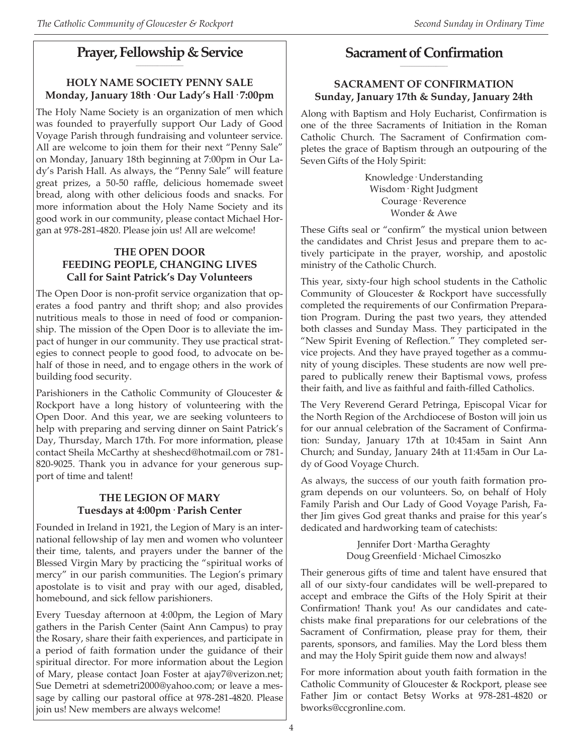#### **Prayer, Fellowship & Service \_\_\_\_\_\_\_\_\_\_\_\_\_\_\_\_\_\_\_\_**

## **HOLY NAME SOCIETY PENNY SALE Monday, January 18th· Our Lady's Hall· 7:00pm**

The Holy Name Society is an organization of men which was founded to prayerfully support Our Lady of Good Voyage Parish through fundraising and volunteer service. All are welcome to join them for their next "Penny Sale" on Monday, January 18th beginning at 7:00pm in Our Lady's Parish Hall. As always, the "Penny Sale" will feature great prizes, a 50-50 raffle, delicious homemade sweet bread, along with other delicious foods and snacks. For more information about the Holy Name Society and its good work in our community, please contact Michael Horgan at 978-281-4820. Please join us! All are welcome!

## **THE OPEN DOOR FEEDING PEOPLE, CHANGING LIVES Call for Saint Patrick's Day Volunteers**

The Open Door is non-profit service organization that operates a food pantry and thrift shop; and also provides nutritious meals to those in need of food or companionship. The mission of the Open Door is to alleviate the impact of hunger in our community. They use practical strategies to connect people to good food, to advocate on behalf of those in need, and to engage others in the work of building food security.

Parishioners in the Catholic Community of Gloucester & Rockport have a long history of volunteering with the Open Door. And this year, we are seeking volunteers to help with preparing and serving dinner on Saint Patrick's Day, Thursday, March 17th. For more information, please contact Sheila McCarthy at sheshecd@hotmail.com or 781- 820-9025. Thank you in advance for your generous support of time and talent!

## **THE LEGION OF MARY Tuesdays at 4:00pm· Parish Center**

Founded in Ireland in 1921, the Legion of Mary is an international fellowship of lay men and women who volunteer their time, talents, and prayers under the banner of the Blessed Virgin Mary by practicing the "spiritual works of mercy" in our parish communities. The Legion's primary apostolate is to visit and pray with our aged, disabled, homebound, and sick fellow parishioners.

Every Tuesday afternoon at 4:00pm, the Legion of Mary gathers in the Parish Center (Saint Ann Campus) to pray the Rosary, share their faith experiences, and participate in a period of faith formation under the guidance of their spiritual director. For more information about the Legion of Mary, please contact Joan Foster at ajay7@verizon.net; Sue Demetri at sdemetri2000@yahoo.com; or leave a message by calling our pastoral office at 978-281-4820. Please join us! New members are always welcome!

#### **Sacrament of Confirmation \_\_\_\_\_\_\_\_\_\_\_\_\_\_\_\_\_\_\_\_**

## **SACRAMENT OF CONFIRMATION Sunday, January 17th & Sunday, January 24th**

Along with Baptism and Holy Eucharist, Confirmation is one of the three Sacraments of Initiation in the Roman Catholic Church. The Sacrament of Confirmation completes the grace of Baptism through an outpouring of the Seven Gifts of the Holy Spirit:

> Knowledge· Understanding Wisdom· Right Judgment Courage· Reverence Wonder & Awe

These Gifts seal or "confirm" the mystical union between the candidates and Christ Jesus and prepare them to actively participate in the prayer, worship, and apostolic ministry of the Catholic Church.

This year, sixty-four high school students in the Catholic Community of Gloucester & Rockport have successfully completed the requirements of our Confirmation Preparation Program. During the past two years, they attended both classes and Sunday Mass. They participated in the "New Spirit Evening of Reflection." They completed service projects. And they have prayed together as a community of young disciples. These students are now well prepared to publically renew their Baptismal vows, profess their faith, and live as faithful and faith-filled Catholics.

The Very Reverend Gerard Petringa, Episcopal Vicar for the North Region of the Archdiocese of Boston will join us for our annual celebration of the Sacrament of Confirmation: Sunday, January 17th at 10:45am in Saint Ann Church; and Sunday, January 24th at 11:45am in Our Lady of Good Voyage Church.

As always, the success of our youth faith formation program depends on our volunteers. So, on behalf of Holy Family Parish and Our Lady of Good Voyage Parish, Father Jim gives God great thanks and praise for this year's dedicated and hardworking team of catechists:

> Jennifer Dort· Martha Geraghty Doug Greenfield· Michael Cimoszko

Their generous gifts of time and talent have ensured that all of our sixty-four candidates will be well-prepared to accept and embrace the Gifts of the Holy Spirit at their Confirmation! Thank you! As our candidates and catechists make final preparations for our celebrations of the Sacrament of Confirmation, please pray for them, their parents, sponsors, and families. May the Lord bless them and may the Holy Spirit guide them now and always!

For more information about youth faith formation in the Catholic Community of Gloucester & Rockport, please see Father Jim or contact Betsy Works at 978-281-4820 or bworks@ccgronline.com.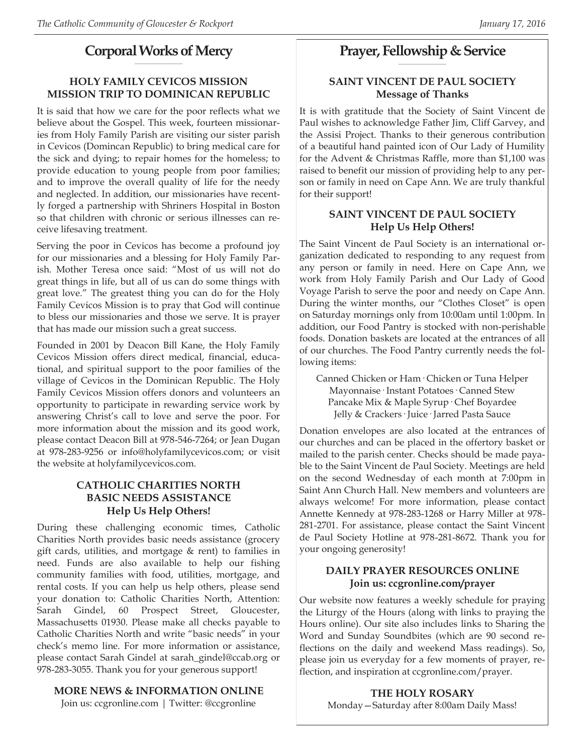#### **Corporal Works of Mercy \_\_\_\_\_\_\_\_\_\_\_\_\_\_\_\_\_\_\_\_**

## **HOLY FAMILY CEVICOS MISSION MISSION TRIP TO DOMINICAN REPUBLIC**

It is said that how we care for the poor reflects what we believe about the Gospel. This week, fourteen missionaries from Holy Family Parish are visiting our sister parish in Cevicos (Domincan Republic) to bring medical care for the sick and dying; to repair homes for the homeless; to provide education to young people from poor families; and to improve the overall quality of life for the needy and neglected. In addition, our missionaries have recently forged a partnership with Shriners Hospital in Boston so that children with chronic or serious illnesses can receive lifesaving treatment.

Serving the poor in Cevicos has become a profound joy for our missionaries and a blessing for Holy Family Parish. Mother Teresa once said: "Most of us will not do great things in life, but all of us can do some things with great love." The greatest thing you can do for the Holy Family Cevicos Mission is to pray that God will continue to bless our missionaries and those we serve. It is prayer that has made our mission such a great success.

Founded in 2001 by Deacon Bill Kane, the Holy Family Cevicos Mission offers direct medical, financial, educational, and spiritual support to the poor families of the village of Cevicos in the Dominican Republic. The Holy Family Cevicos Mission offers donors and volunteers an opportunity to participate in rewarding service work by answering Christ's call to love and serve the poor. For more information about the mission and its good work, please contact Deacon Bill at 978-546-7264; or Jean Dugan at 978-283-9256 or info@holyfamilycevicos.com; or visit the website at holyfamilycevicos.com.

## **CATHOLIC CHARITIES NORTH BASIC NEEDS ASSISTANCE Help Us Help Others!**

During these challenging economic times, Catholic Charities North provides basic needs assistance (grocery gift cards, utilities, and mortgage & rent) to families in need. Funds are also available to help our fishing community families with food, utilities, mortgage, and rental costs. If you can help us help others, please send your donation to: Catholic Charities North, Attention: Sarah Gindel, 60 Prospect Street, Gloucester, Massachusetts 01930. Please make all checks payable to Catholic Charities North and write "basic needs" in your check's memo line. For more information or assistance, please contact Sarah Gindel at sarah\_gindel@ccab.org or 978-283-3055. Thank you for your generous support!

## **MORE NEWS & INFORMATION ONLINE**

Join us: ccgronline.com | Twitter: @ccgronline

#### **Prayer, Fellowship & Service \_\_\_\_\_\_\_\_\_\_\_\_\_\_\_\_\_\_\_\_**

#### **SAINT VINCENT DE PAUL SOCIETY Message of Thanks**

It is with gratitude that the Society of Saint Vincent de Paul wishes to acknowledge Father Jim, Cliff Garvey, and the Assisi Project. Thanks to their generous contribution of a beautiful hand painted icon of Our Lady of Humility for the Advent & Christmas Raffle, more than \$1,100 was raised to benefit our mission of providing help to any person or family in need on Cape Ann. We are truly thankful for their support!

## **SAINT VINCENT DE PAUL SOCIETY Help Us Help Others!**

The Saint Vincent de Paul Society is an international organization dedicated to responding to any request from any person or family in need. Here on Cape Ann, we work from Holy Family Parish and Our Lady of Good Voyage Parish to serve the poor and needy on Cape Ann. During the winter months, our "Clothes Closet" is open on Saturday mornings only from 10:00am until 1:00pm. In addition, our Food Pantry is stocked with non-perishable foods. Donation baskets are located at the entrances of all of our churches. The Food Pantry currently needs the following items:

Canned Chicken or Ham· Chicken or Tuna Helper Mayonnaise· Instant Potatoes· Canned Stew Pancake Mix & Maple Syrup· Chef Boyardee Jelly & Crackers· Juice· Jarred Pasta Sauce

Donation envelopes are also located at the entrances of our churches and can be placed in the offertory basket or mailed to the parish center. Checks should be made payable to the Saint Vincent de Paul Society. Meetings are held on the second Wednesday of each month at 7:00pm in Saint Ann Church Hall. New members and volunteers are always welcome! For more information, please contact Annette Kennedy at 978-283-1268 or Harry Miller at 978- 281-2701. For assistance, please contact the Saint Vincent de Paul Society Hotline at 978-281-8672. Thank you for your ongoing generosity!

## **DAILY PRAYER RESOURCES ONLINE Join us: ccgronline.com/prayer**

Our website now features a weekly schedule for praying the Liturgy of the Hours (along with links to praying the Hours online). Our site also includes links to Sharing the Word and Sunday Soundbites (which are 90 second reflections on the daily and weekend Mass readings). So, please join us everyday for a few moments of prayer, reflection, and inspiration at ccgronline.com/prayer.

> **THE HOLY ROSARY** Monday—Saturday after 8:00am Daily Mass!